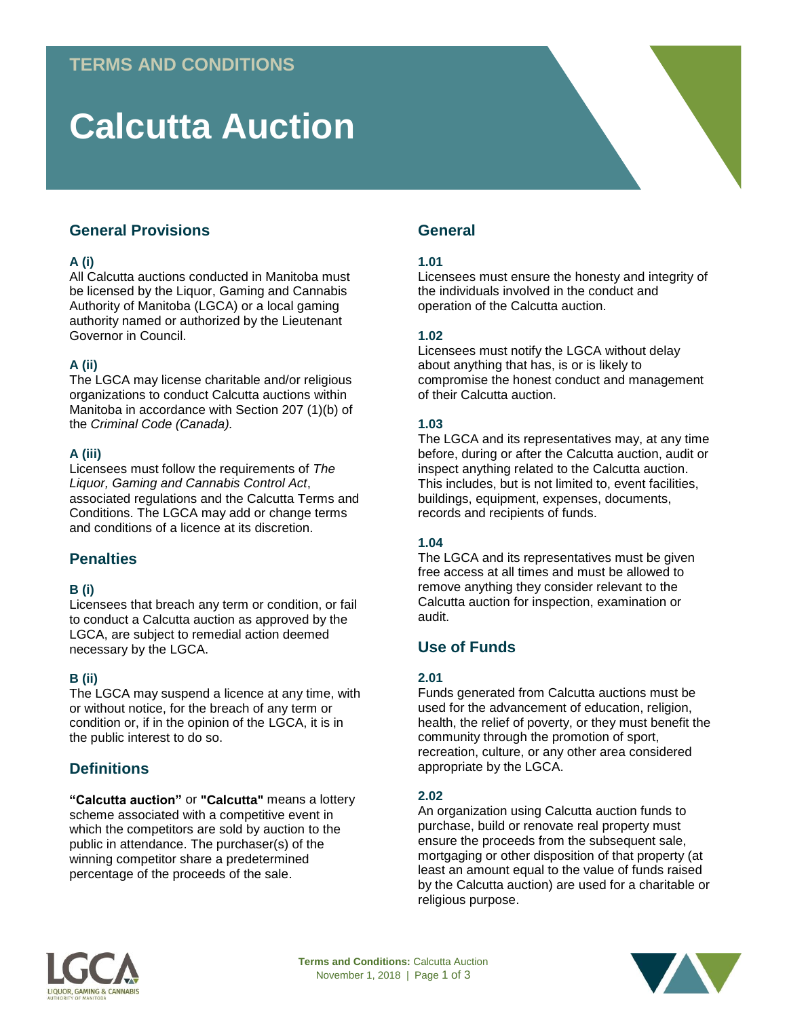# **Calcutta Auction**

# **General Provisions**

# **A (i)**

All Calcutta auctions conducted in Manitoba must be licensed by the Liquor, Gaming and Cannabis Authority of Manitoba (LGCA) or a local gaming authority named or authorized by the Lieutenant Governor in Council.

# **A (ii)**

The LGCA may license charitable and/or religious organizations to conduct Calcutta auctions within Manitoba in accordance with Section 207 (1)(b) of the *Criminal Code (Canada).* 

## **A (iii)**

Licensees must follow the requirements of *The Liquor, Gaming and Cannabis Control Act*, associated regulations and the Calcutta Terms and Conditions. The LGCA may add or change terms and conditions of a licence at its discretion.

# **Penalties**

## **B (i)**

Licensees that breach any term or condition, or fail to conduct a Calcutta auction as approved by the LGCA, are subject to remedial action deemed necessary by the LGCA.

## **B (ii)**

The LGCA may suspend a licence at any time, with or without notice, for the breach of any term or condition or, if in the opinion of the LGCA, it is in the public interest to do so.

# **Definitions**

**"Calcutta auction"** or **"Calcutta"** means a lottery scheme associated with a competitive event in which the competitors are sold by auction to the public in attendance. The purchaser(s) of the winning competitor share a predetermined percentage of the proceeds of the sale.

# **General**

# **1.01**

Licensees must ensure the honesty and integrity of the individuals involved in the conduct and operation of the Calcutta auction.

## **1.02**

Licensees must notify the LGCA without delay about anything that has, is or is likely to compromise the honest conduct and management of their Calcutta auction.

# **1.03**

The LGCA and its representatives may, at any time before, during or after the Calcutta auction, audit or inspect anything related to the Calcutta auction. This includes, but is not limited to, event facilities, buildings, equipment, expenses, documents, records and recipients of funds.

## **1.04**

The LGCA and its representatives must be given free access at all times and must be allowed to remove anything they consider relevant to the Calcutta auction for inspection, examination or audit.

# **Use of Funds**

## **2.01**

Funds generated from Calcutta auctions must be used for the advancement of education, religion, health, the relief of poverty, or they must benefit the community through the promotion of sport, recreation, culture, or any other area considered appropriate by the LGCA.

## **2.02**

An organization using Calcutta auction funds to purchase, build or renovate real property must ensure the proceeds from the subsequent sale, mortgaging or other disposition of that property (at least an amount equal to the value of funds raised by the Calcutta auction) are used for a charitable or religious purpose.



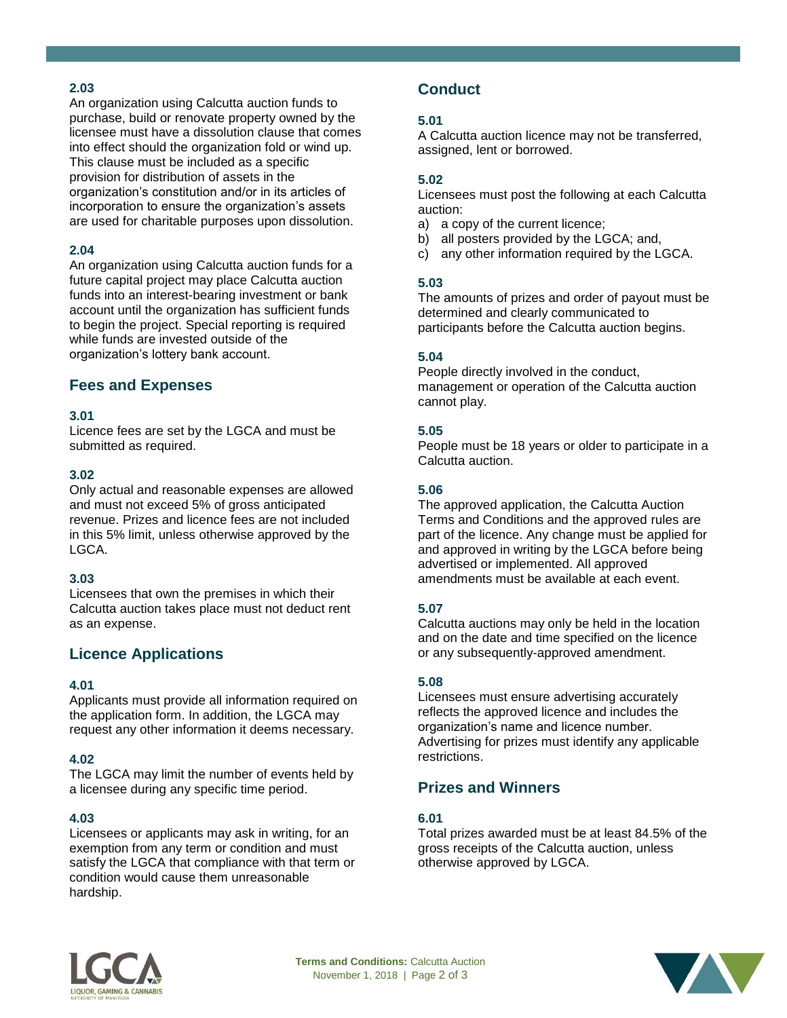## **2.03**

An organization using Calcutta auction funds to purchase, build or renovate property owned by the licensee must have a dissolution clause that comes into effect should the organization fold or wind up. This clause must be included as a specific provision for distribution of assets in the organization's constitution and/or in its articles of incorporation to ensure the organization's assets are used for charitable purposes upon dissolution.

## **2.04**

An organization using Calcutta auction funds for a future capital project may place Calcutta auction funds into an interest-bearing investment or bank account until the organization has sufficient funds to begin the project. Special reporting is required while funds are invested outside of the organization's lottery bank account.

# **Fees and Expenses**

#### **3.01**

Licence fees are set by the LGCA and must be submitted as required.

#### **3.02**

Only actual and reasonable expenses are allowed and must not exceed 5% of gross anticipated revenue. Prizes and licence fees are not included in this 5% limit, unless otherwise approved by the LGCA.

#### **3.03**

Licensees that own the premises in which their Calcutta auction takes place must not deduct rent as an expense.

# **Licence Applications**

#### **4.01**

Applicants must provide all information required on the application form. In addition, the LGCA may request any other information it deems necessary.

#### **4.02**

The LGCA may limit the number of events held by a licensee during any specific time period.

## **4.03**

Licensees or applicants may ask in writing, for an exemption from any term or condition and must satisfy the LGCA that compliance with that term or condition would cause them unreasonable hardship.

# **Conduct**

## **5.01**

A Calcutta auction licence may not be transferred, assigned, lent or borrowed.

#### **5.02**

Licensees must post the following at each Calcutta auction:

- a) a copy of the current licence;
- b) all posters provided by the LGCA; and,
- c) any other information required by the LGCA.

#### **5.03**

The amounts of prizes and order of payout must be determined and clearly communicated to participants before the Calcutta auction begins.

#### **5.04**

People directly involved in the conduct, management or operation of the Calcutta auction cannot play.

#### **5.05**

People must be 18 years or older to participate in a Calcutta auction.

#### **5.06**

The approved application, the Calcutta Auction Terms and Conditions and the approved rules are part of the licence. Any change must be applied for and approved in writing by the LGCA before being advertised or implemented. All approved amendments must be available at each event.

## **5.07**

Calcutta auctions may only be held in the location and on the date and time specified on the licence or any subsequently-approved amendment.

## **5.08**

Licensees must ensure advertising accurately reflects the approved licence and includes the organization's name and licence number. Advertising for prizes must identify any applicable restrictions.

# **Prizes and Winners**

#### **6.01**

Total prizes awarded must be at least 84.5% of the gross receipts of the Calcutta auction, unless otherwise approved by LGCA.